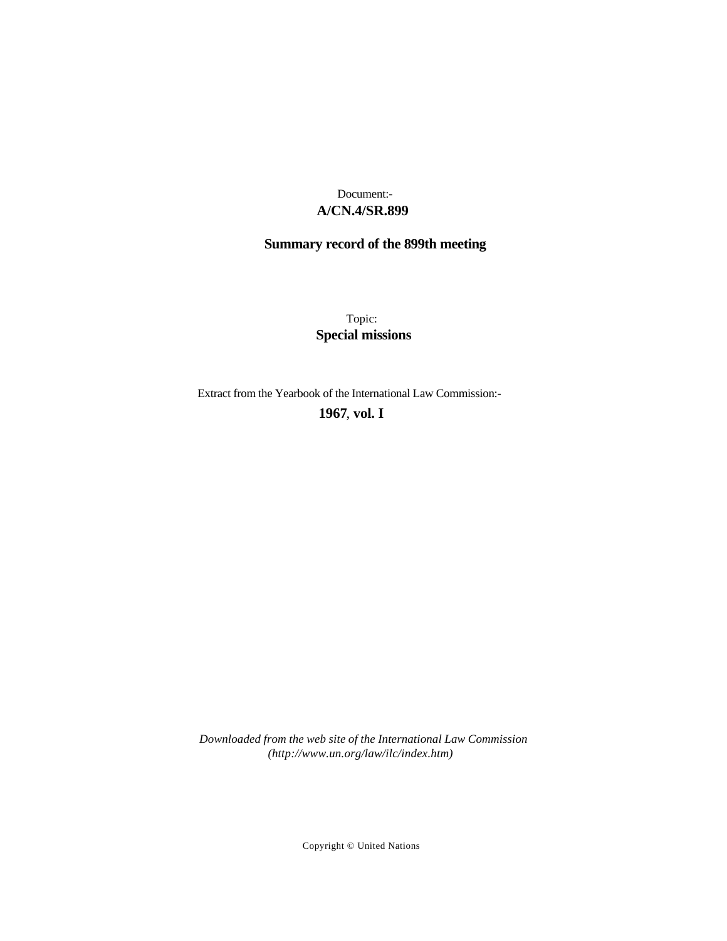# **A/CN.4/SR.899** Document:-

# **Summary record of the 899th meeting**

Topic: **Special missions**

Extract from the Yearbook of the International Law Commission:-

**1967** , **vol. I**

*Downloaded from the web site of the International Law Commission (http://www.un.org/law/ilc/index.htm)*

Copyright © United Nations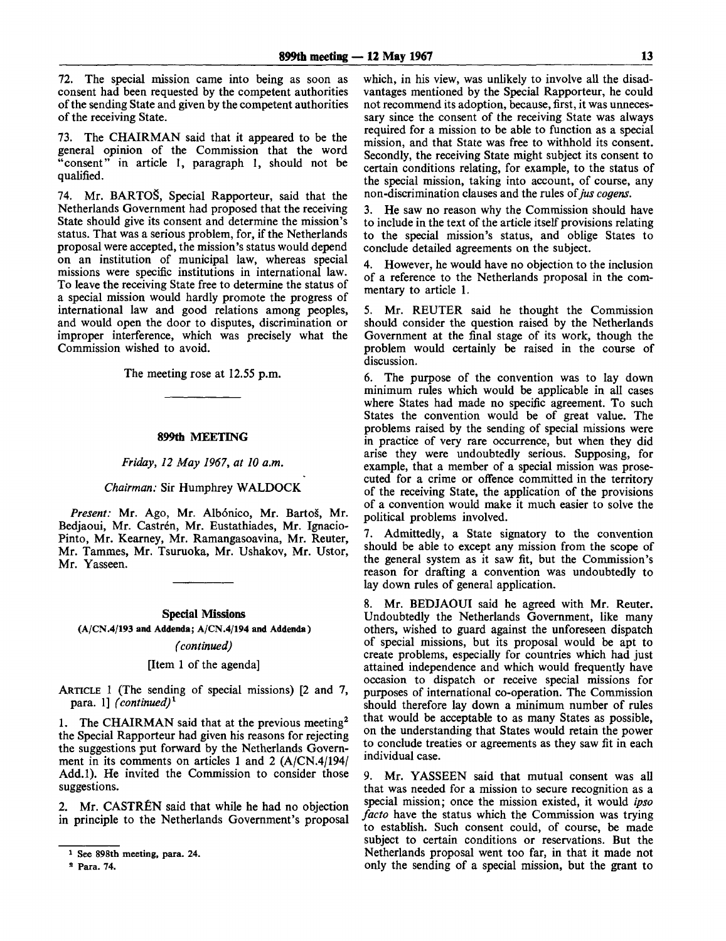72. The special mission came into being as soon as consent had been requested by the competent authorities of the sending State and given by the competent authorities of the receiving State.

73. The CHAIRMAN said that it appeared to be the general opinion of the Commission that the word "consent" in article 1, paragraph 1, should not be qualified.

74. Mr. BARTOS, Special Rapporteur, said that the Netherlands Government had proposed that the receiving State should give its consent and determine the mission's status. That was a serious problem, for, if the Netherlands proposal were accepted, the mission's status would depend on an institution of municipal law, whereas special missions were specific institutions in international law. To leave the receiving State free to determine the status of a special mission would hardly promote the progress of international law and good relations among peoples, and would open the door to disputes, discrimination or improper interference, which was precisely what the Commission wished to avoid.

The meeting rose at 12.55 p.m.

### **899th MEETING**

*Friday, 12 May 1967, at 10 a.m.*

*Chairman:* Sir Humphrey WALDOCK

Present: Mr. Ago, Mr. Albónico, Mr. Bartoš, Mr. Bedjaoui, Mr. Castrén, Mr. Eustathiades, Mr. Ignacio-Pinto, Mr. Kearney, Mr. Ramangasoavina, Mr. Reuter, Mr. Tammes, Mr. Tsuruoka, Mr. Ushakov, Mr. Ustor, Mr. Yasseen.

#### **Special Missions**

**(A/CN.4/193 and Addenda; A/CN.4/194 and Addenda)**

### *(continued)*

## [Item 1 of the agenda]

ARTICLE 1 (The sending of special missions) [2 and 7, para. 1] *(continued)<sup>1</sup>*

1. The CHAIRMAN said that at the previous meeting<sup>2</sup> the Special Rapporteur had given his reasons for rejecting the suggestions put forward by the Netherlands Government in its comments on articles 1 and 2 (A/CN.4/194/ Add.l). He invited the Commission to consider those suggestions.

2. Mr. CASTREN said that while he had no objection in principle to the Netherlands Government's proposal which, in his view, was unlikely to involve all the disadvantages mentioned by the Special Rapporteur, he could not recommend its adoption, because, first, it was unnecessary since the consent of the receiving State was always required for a mission to be able to function as a special mission, and that State was free to withhold its consent. Secondly, the receiving State might subject its consent to certain conditions relating, for example, to the status of the special mission, taking into account, of course, any non-discrimination clauses and the rules of *jus cogens.*

3. He saw no reason why the Commission should have to include in the text of the article itself provisions relating to the special mission's status, and oblige States to conclude detailed agreements on the subject.

4. However, he would have no objection to the inclusion of a reference to the Netherlands proposal in the commentary to article 1.

5. Mr. REUTER said he thought the Commission should consider the question raised by the Netherlands Government at the final stage of its work, though the problem would certainly be raised in the course of discussion.

6. The purpose of the convention was to lay down minimum rules which would be applicable in all cases where States had made no specific agreement. To such States the convention would be of great value. The problems raised by the sending of special missions were in practice of very rare occurrence, but when they did arise they were undoubtedly serious. Supposing, for example, that a member of a special mission was prosecuted for a crime or offence committed in the territory of the receiving State, the application of the provisions of a convention would make it much easier to solve the political problems involved.

7. Admittedly, a State signatory to the convention should be able to except any mission from the scope of the general system as it saw fit, but the Commission's reason for drafting a convention was undoubtedly to lay down rules of general application.

8. Mr. BEDJAOUI said he agreed with Mr. Reuter. Undoubtedly the Netherlands Government, like many others, wished to guard against the unforeseen dispatch of special missions, but its proposal would be apt to create problems, especially for countries which had just attained independence and which would frequently have occasion to dispatch or receive special missions for purposes of international co-operation. The Commission should therefore lay down a minimum number of rules that would be acceptable to as many States as possible, on the understanding that States would retain the power to conclude treaties or agreements as they saw fit in each individual case.

9. Mr. YASSEEN said that mutual consent was all that was needed for a mission to secure recognition as a special mission; once the mission existed, it would *ipso facto* have the status which the Commission was trying to establish. Such consent could, of course, be made subject to certain conditions or reservations. But the Netherlands proposal went too far, in that it made not only the sending of a special mission, but the grant to

**<sup>1</sup> See 898th meeting, para. 24.**

**<sup>2</sup> Para. 74.**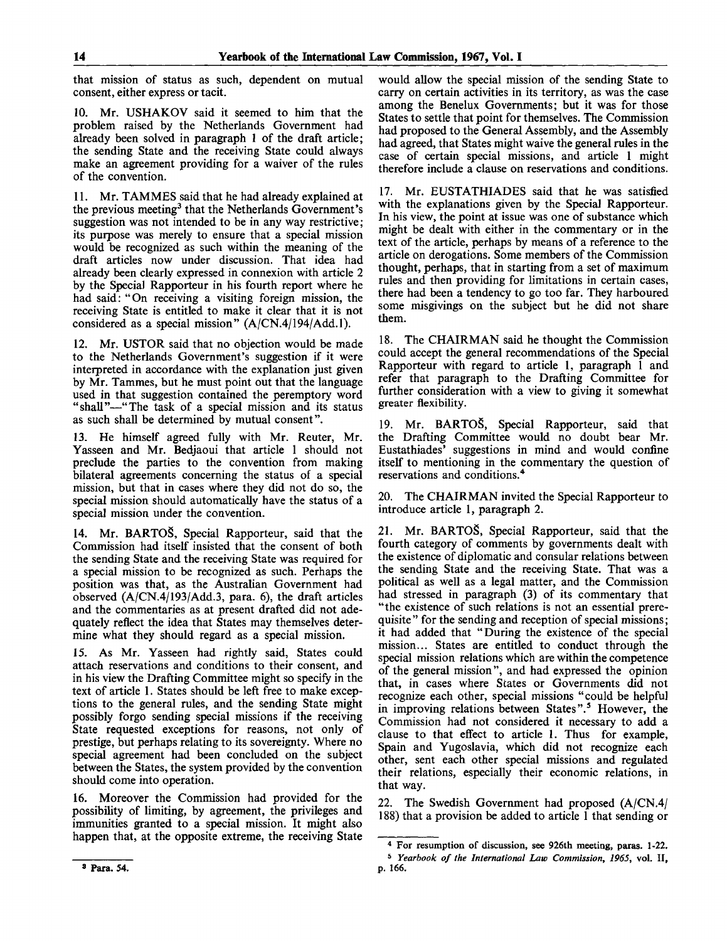that mission of status as such, dependent on mutual consent, either express or tacit.

10. Mr. USHAKOV said it seemed to him that the problem raised by the Netherlands Government had already been solved in paragraph 1 of the draft article; the sending State and the receiving State could always make an agreement providing for a waiver of the rules of the convention.

11. Mr. TAMMES said that he had already explained at the previous meeting<sup>3</sup> that the Netherlands Government's suggestion was not intended to be in any way restrictive; its purpose was merely to ensure that a special mission would be recognized as such within the meaning of the draft articles now under discussion. That idea had already been clearly expressed in connexion with article 2 by the Special Rapporteur in his fourth report where he had said: "On receiving a visiting foreign mission, the receiving State is entitled to make it clear that it is not considered as a special mission" (A/CN.4/194/Add.l).

12. Mr. USTOR said that no objection would be made to the Netherlands Government's suggestion if it were interpreted in accordance with the explanation just given by Mr. Tammes, but he must point out that the language used in that suggestion contained the peremptory word "shall"—"The task of a special mission and its status as such shall be determined by mutual consent".

13. He himself agreed fully with Mr. Reuter, Mr. Yasseen and Mr. Bedjaoui that article 1 should not preclude the parties to the convention from making bilateral agreements concerning the status of a special mission, but that in cases where they did not do so, the special mission should automatically have the status of a special mission under the convention.

14. Mr. BARTOS, Special Rapporteur, said that the Commission had itself insisted that the consent of both the sending State and the receiving State was required for a special mission to be recognized as such. Perhaps the position was that, as the Australian Government had observed (A/CN.4/193/Add.3, para. 6), the draft articles and the commentaries as at present drafted did not adequately reflect the idea that States may themselves determine what they should regard as a special mission.

15. As Mr. Yasseen had rightly said, States could attach reservations and conditions to their consent, and in his view the Drafting Committee might so specify in the text of article 1. States should be left free to make exceptions to the general rules, and the sending State might possibly forgo sending special missions if the receiving State requested exceptions for reasons, not only of prestige, but perhaps relating to its sovereignty. Where no special agreement had been concluded on the subject between the States, the system provided by the convention should come into operation.

16. Moreover the Commission had provided for the possibility of limiting, by agreement, the privileges and immunities granted to a special mission. It might also happen that, at the opposite extreme, the receiving State would allow the special mission of the sending State to carry on certain activities in its territory, as was the case among the Benelux Governments; but it was for those States to settle that point for themselves. The Commission had proposed to the General Assembly, and the Assembly had agreed, that States might waive the general rules in the case of certain special missions, and article 1 might therefore include a clause on reservations and conditions.

17. Mr. EUSTATHIADES said that he was satisfied with the explanations given by the Special Rapporteur. In his view, the point at issue was one of substance which might be dealt with either in the commentary or in the text of the article, perhaps by means of a reference to the article on derogations. Some members of the Commission thought, perhaps, that in starting from a set of maximum rules and then providing for limitations in certain cases, there had been a tendency to go too far. They harboured some misgivings on the subject but he did not share them.

18. The CHAIRMAN said he thought the Commission could accept the general recommendations of the Special Rapporteur with regard to article 1, paragraph 1 and refer that paragraph to the Drafting Committee for further consideration with a view to giving it somewhat greater flexibility.

19. Mr. BARTOŠ, Special Rapporteur, said that the Drafting Committee would no doubt bear Mr. Eustathiades' suggestions in mind and would confine itself to mentioning in the commentary the question of reservations and conditions.<sup>4</sup>

20. The CHAIRMAN invited the Special Rapporteur to introduce article 1, paragraph 2.

21. Mr. BARTOŠ, Special Rapporteur, said that the fourth category of comments by governments dealt with the existence of diplomatic and consular relations between the sending State and the receiving State. That was a political as well as a legal matter, and the Commission had stressed in paragraph (3) of its commentary that "the existence of such relations is not an essential prerequisite" for the sending and reception of special missions; it had added that "During the existence of the special mission... States are entitled to conduct through the special mission relations which are within the competence of the general mission", and had expressed the opinion that, in cases where States or Governments did not recognize each other, special missions "could be helpful in improving relations between States".<sup>5</sup> However, the Commission had not considered it necessary to add a clause to that effect to article 1. Thus for example, Spain and Yugoslavia, which did not recognize each other, sent each other special missions and regulated their relations, especially their economic relations, in that way.

22. The Swedish Government had proposed (A/CN.4/ 188) that a provision be added to article 1 that sending or

<sup>4</sup> For resumption of discussion, see 926th meeting, paras. 1-22.

<sup>5</sup>  *Yearbook of the International Law Commission, 1965,* vol. II, p. 166.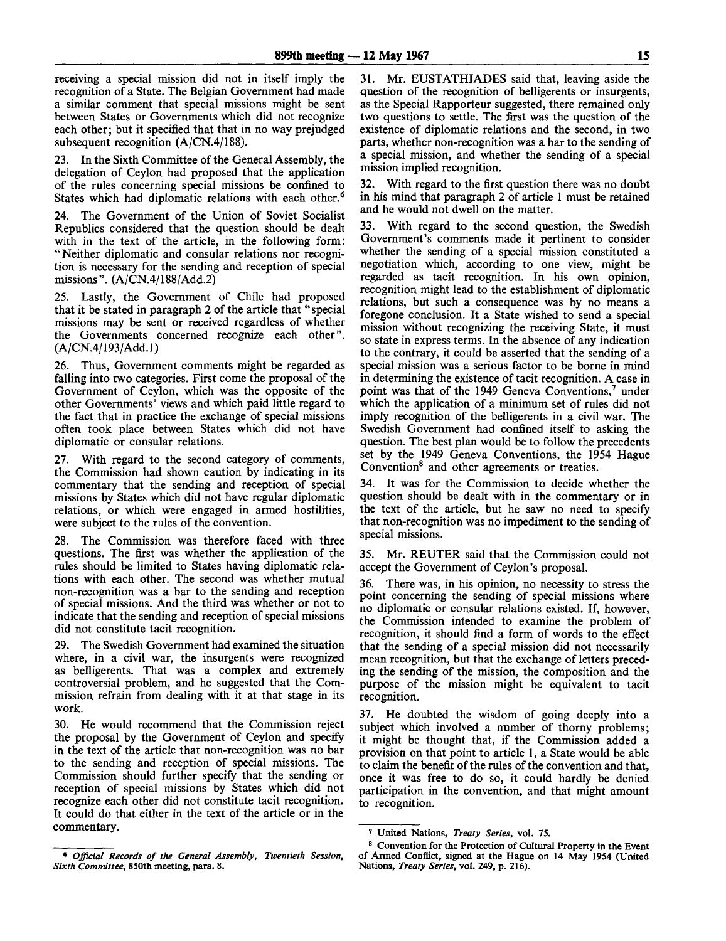receiving a special mission did not in itself imply the recognition of a State. The Belgian Government had made a similar comment that special missions might be sent between States or Governments which did not recognize each other; but it specified that that in no way prejudged subsequent recognition (A/CN.4/188).

23. In the Sixth Committee of the General Assembly, the delegation of Ceylon had proposed that the application of the rules concerning special missions be confined to States which had diplomatic relations with each other.<sup>6</sup>

24. The Government of the Union of Soviet Socialist Republics considered that the question should be dealt with in the text of the article, in the following form: "Neither diplomatic and consular relations nor recognition is necessary for the sending and reception of special missions". (A/CN.4/188/Add.2)

25. Lastly, the Government of Chile had proposed that it be stated in paragraph 2 of the article that "special missions may be sent or received regardless of whether the Governments concerned recognize each other". (A/CN.4/193/Add.l)

26. Thus, Government comments might be regarded as falling into two categories. First come the proposal of the Government of Ceylon, which was the opposite of the other Governments' views and which paid little regard to the fact that in practice the exchange of special missions often took place between States which did not have diplomatic or consular relations.

27. With regard to the second category of comments, the Commission had shown caution by indicating in its commentary that the sending and reception of special missions by States which did not have regular diplomatic relations, or which were engaged in armed hostilities, were subject to the rules of the convention.

28. The Commission was therefore faced with three questions. The first was whether the application of the rules should be limited to States having diplomatic relations with each other. The second was whether mutual non-recognition was a bar to the sending and reception of special missions. And the third was whether or not to indicate that the sending and reception of special missions did not constitute tacit recognition.

29. The Swedish Government had examined the situation where, in a civil war, the insurgents were recognized as belligerents. That was a complex and extremely controversial problem, and he suggested that the Commission refrain from dealing with it at that stage in its work.

30. He would recommend that the Commission reject the proposal by the Government of Ceylon and specify in the text of the article that non-recognition was no bar to the sending and reception of special missions. The Commission should further specify that the sending or reception of special missions by States which did not recognize each other did not constitute tacit recognition. It could do that either in the text of the article or in the commentary.

31. Mr. EUSTATHIADES said that, leaving aside the question of the recognition of belligerents or insurgents, as the Special Rapporteur suggested, there remained only two questions to settle. The first was the question of the existence of diplomatic relations and the second, in two parts, whether non-recognition was a bar to the sending of a special mission, and whether the sending of a special mission implied recognition.

32. With regard to the first question there was no doubt in his mind that paragraph 2 of article 1 must be retained and he would not dwell on the matter.

33. With regard to the second question, the Swedish Government's comments made it pertinent to consider whether the sending of a special mission constituted a negotiation which, according to one view, might be regarded as tacit recognition. In his own opinion, recognition might lead to the establishment of diplomatic relations, but such a consequence was by no means a foregone conclusion. It a State wished to send a special mission without recognizing the receiving State, it must so state in express terms. In the absence of any indication to the contrary, it could be asserted that the sending of a special mission was a serious factor to be borne in mind in determining the existence of tacit recognition. A case in point was that of the 1949 Geneva Conventions,<sup>7</sup> under which the application of a minimum set of rules did not imply recognition of the belligerents in a civil war. The Swedish Government had confined itself to asking the question. The best plan would be to follow the precedents set by the 1949 Geneva Conventions, the 1954 Hague Convention<sup>8</sup> and other agreements or treaties.

34. It was for the Commission to decide whether the question should be dealt with in the commentary or in the text of the article, but he saw no need to specify that non-recognition was no impediment to the sending of special missions.

35. Mr. REUTER said that the Commission could not accept the Government of Ceylon's proposal.

36. There was, in his opinion, no necessity to stress the point concerning the sending of special missions where no diplomatic or consular relations existed. If, however, the Commission intended to examine the problem of recognition, it should find a form of words to the effect that the sending of a special mission did not necessarily mean recognition, but that the exchange of letters preceding the sending of the mission, the composition and the purpose of the mission might be equivalent to tacit recognition.

37. He doubted the wisdom of going deeply into a subject which involved a number of thorny problems; it might be thought that, if the Commission added a provision on that point to article 1, a State would be able to claim the benefit of the rules of the convention and that, once it was free to do so, it could hardly be denied participation in the convention, and that might amount to recognition.

<sup>6</sup>  *Official Records of the General Assembly, Twentieth Session, Sixth Committee,* 850th meeting, para. 8.

<sup>7</sup> United Nations, *Treaty Series,* vol. 75.

<sup>&</sup>lt;sup>8</sup> Convention for the Protection of Cultural Property in the Event of Armed Conflict, signed at the Hague on 14 May 1954 (United Nations, *Treaty Series,* vol. 249, p. 216).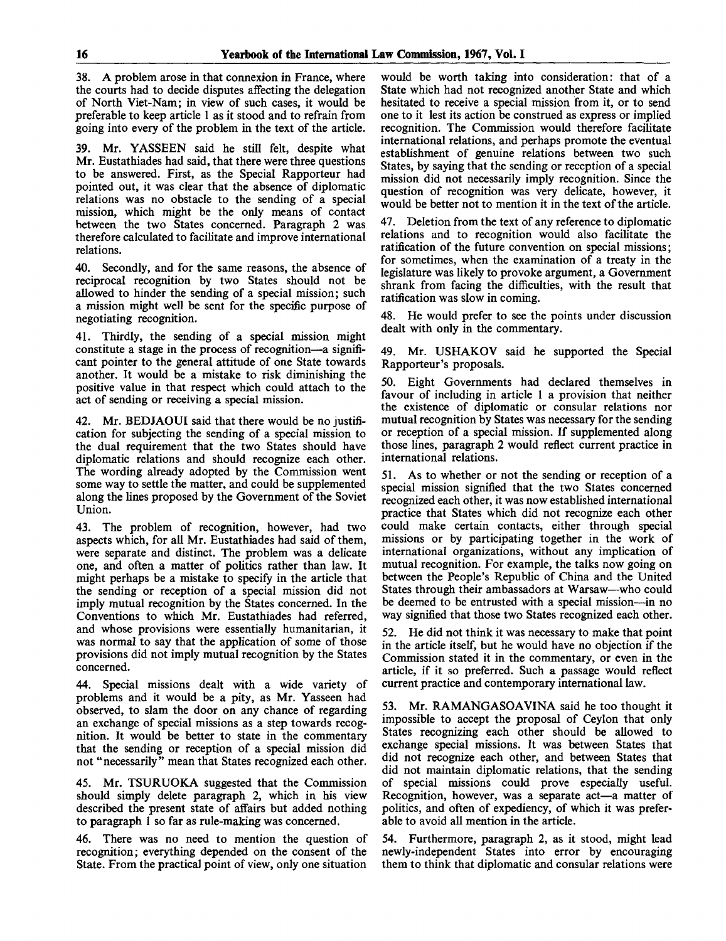38. A problem arose in that connexion in France, where the courts had to decide disputes affecting the delegation of North Viet-Nam; in view of such cases, it would be preferable to keep article 1 as it stood and to refrain from going into every of the problem in the text of the article.

39. Mr. YASSEEN said he still felt, despite what Mr. Eustathiades had said, that there were three questions to be answered. First, as the Special Rapporteur had pointed out, it was clear that the absence of diplomatic relations was no obstacle to the sending of a special mission, which might be the only means of contact between the two States concerned. Paragraph 2 was therefore calculated to facilitate and improve international relations.

40. Secondly, and for the same reasons, the absence of reciprocal recognition by two States should not be allowed to hinder the sending of a special mission; such a mission might well be sent for the specific purpose of negotiating recognition.

41. Thirdly, the sending of a special mission might constitute a stage in the process of recognition—a significant pointer to the general attitude of one State towards another. It would be a mistake to risk diminishing the positive value in that respect which could attach to the act of sending or receiving a special mission.

42. Mr. BEDJAOUI said that there would be no justification for subjecting the sending of a special mission to the dual requirement that the two States should have diplomatic relations and should recognize each other. The wording already adopted by the Commission went some way to settle the matter, and could be supplemented along the lines proposed by the Government of the Soviet Union.

43. The problem of recognition, however, had two aspects which, for all Mr. Eustathiades had said of them, were separate and distinct. The problem was a delicate one, and often a matter of politics rather than law. It might perhaps be a mistake to specify in the article that the sending or reception of a special mission did not imply mutual recognition by the States concerned. In the Conventions to which Mr. Eustathiades had referred, and whose provisions were essentially humanitarian, it was normal to say that the application of some of those provisions did not imply mutual recognition by the States concerned.

44. Special missions dealt with a wide variety of problems and it would be a pity, as Mr. Yasseen had observed, to slam the door on any chance of regarding an exchange of special missions as a step towards recognition. It would be better to state in the commentary that the sending or reception of a special mission did not "necessarily" mean that States recognized each other.

45. Mr. TSURUOKA suggested that the Commission should simply delete paragraph 2, which in his view described the present state of affairs but added nothing to paragraph 1 so far as rule-making was concerned.

46. There was no need to mention the question of recognition; everything depended on the consent of the State. From the practical point of view, only one situation would be worth taking into consideration: that of a State which had not recognized another State and which hesitated to receive a special mission from it, or to send one to it lest its action be construed as express or implied recognition. The Commission would therefore facilitate international relations, and perhaps promote the eventual establishment of genuine relations between two such States, by saying that the sending or reception of a special mission did not necessarily imply recognition. Since the question of recognition was very delicate, however, it would be better not to mention it in the text of the article.

47. Deletion from the text of any reference to diplomatic relations and to recognition would also facilitate the ratification of the future convention on special missions; for sometimes, when the examination of a treaty in the legislature was likely to provoke argument, a Government shrank from facing the difficulties, with the result that ratification was slow in coming.

48. He would prefer to see the points under discussion dealt with only in the commentary.

49. Mr. USHAKOV said he supported the Special Rapporteur's proposals.

50. Eight Governments had declared themselves in favour of including in article 1 a provision that neither the existence of diplomatic or consular relations nor mutual recognition by States was necessary for the sending or reception of a special mission. If supplemented along those lines, paragraph 2 would reflect current practice in international relations.

51. As to whether or not the sending or reception of a special mission signified that the two States concerned recognized each other, it was now established international practice that States which did not recognize each other could make certain contacts, either through special missions or by participating together in the work of international organizations, without any implication of mutual recognition. For example, the talks now going on between the People's Republic of China and the United States through their ambassadors at Warsaw—who could be deemed to be entrusted with a special mission—in no way signified that those two States recognized each other.

52. He did not think it was necessary to make that point in the article itself, but he would have no objection if the Commission stated it in the commentary, or even in the article, if it so preferred. Such a passage would reflect current practice and contemporary international law.

53. Mr. RAMANGASOAV1NA said he too thought it impossible to accept the proposal of Ceylon that only States recognizing each other should be allowed to exchange special missions. It was between States that did not recognize each other, and between States that did not maintain diplomatic relations, that the sending of special missions could prove especially useful. Recognition, however, was a separate act—a matter of politics, and often of expediency, of which it was preferable to avoid all mention in the article.

54. Furthermore, paragraph 2, as it stood, might lead newly-independent States into error by encouraging them to think that diplomatic and consular relations were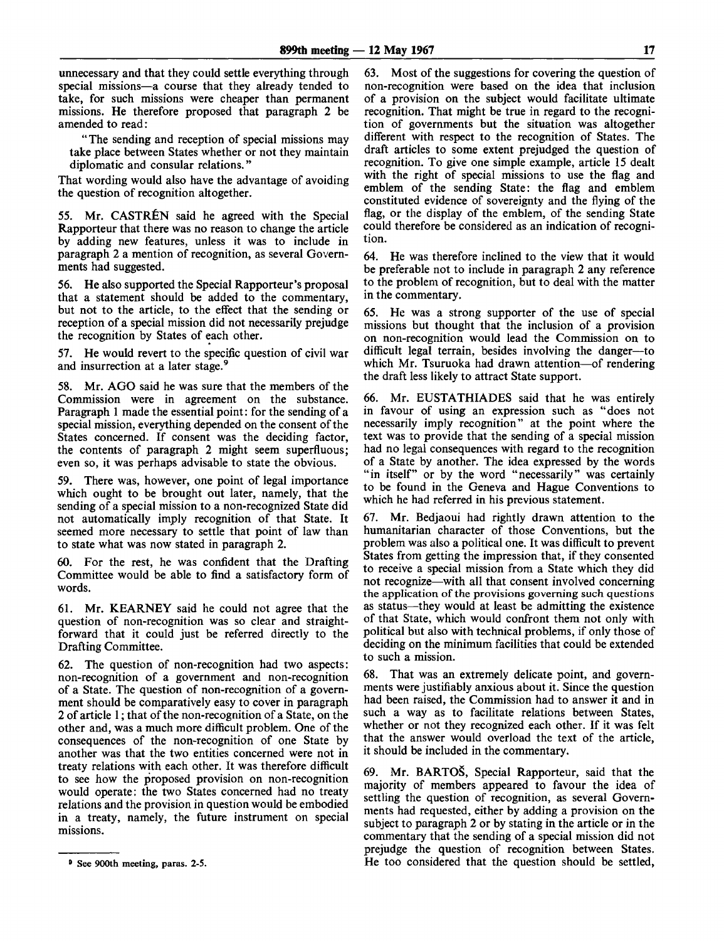unnecessary and that they could settle everything through special missions—a course that they already tended to take, for such missions were cheaper than permanent missions. He therefore proposed that paragraph 2 be amended to read:

"The sending and reception of special missions may take place between States whether or not they maintain diplomatic and consular relations."

That wording would also have the advantage of avoiding the question of recognition altogether.

55. Mr. CASTREN said he agreed with the Special Rapporteur that there was no reason to change the article by adding new features, unless it was to include in paragraph 2 a mention of recognition, as several Governments had suggested.

56. He also supported the Special Rapporteur's proposal that a statement should be added to the commentary, but not to the article, to the effect that the sending or reception of a special mission did not necessarily prejudge the recognition by States of each other.

57. He would revert to the specific question of civil war and insurrection at a later stage.<sup>9</sup>

58. Mr. AGO said he was sure that the members of the Commission were in agreement on the substance. Paragraph 1 made the essential point: for the sending of a special mission, everything depended on the consent of the States concerned. If consent was the deciding factor, the contents of paragraph 2 might seem superfluous; even so, it was perhaps advisable to state the obvious.

59. There was, however, one point of legal importance which ought to be brought out later, namely, that the sending of a special mission to a non-recognized State did not automatically imply recognition of that State. It seemed more necessary to settle that point of law than to state what was now stated in paragraph 2.

60. For the rest, he was confident that the Drafting Committee would be able to find a satisfactory form of words.

61. Mr. KEARNEY said he could not agree that the question of non-recognition was so clear and straightforward that it could just be referred directly to the Drafting Committee.

62. The question of non-recognition had two aspects: non-recognition of a government and non-recognition of a State. The question of non-recognition of a government should be comparatively easy to cover in paragraph 2 of article 1; that of the non-recognition of a State, on the other and, was a much more difficult problem. One of the consequences of the non-recognition of one State by another was that the two entities concerned were not in treaty relations with each other. It was therefore difficult to see how the proposed provision on non-recognition would operate: the two States concerned had no treaty relations and the provision in question would be embodied in a treaty, namely, the future instrument on special missions.

63. Most of the suggestions for covering the question of non-recognition were based on the idea that inclusion of a provision on the subject would facilitate ultimate recognition. That might be true in regard to the recognition of governments but the situation was altogether different with respect to the recognition of States. The draft articles to some extent prejudged the question of recognition. To give one simple example, article 15 dealt with the right of special missions to use the flag and emblem of the sending State: the flag and emblem constituted evidence of sovereignty and the flying of the flag, or the display of the emblem, of the sending State could therefore be considered as an indication of recognition.

64. He was therefore inclined to the view that it would be preferable not to include in paragraph 2 any reference to the problem of recognition, but to deal with the matter in the commentary.

65. He was a strong supporter of the use of special missions but thought that the inclusion of a provision on non-recognition would lead the Commission on to difficult legal terrain, besides involving the danger—to which Mr. Tsuruoka had drawn attention—of rendering the draft less likely to attract State support.

66. Mr. EUSTATHIADES said that he was entirely in favour of using an expression such as "does not necessarily imply recognition" at the point where the text was to provide that the sending of a special mission had no legal consequences with regard to the recognition of a State by another. The idea expressed by the words "in itself" or by the word "necessarily" was certainly to be found in the Geneva and Hague Conventions to which he had referred in his previous statement.

67. Mr. Bedjaoui had rightly drawn attention to the humanitarian character of those Conventions, but the problem was also a political one. It was difficult to prevent States from getting the impression that, if they consented to receive a special mission from a State which they did not recognize—with all that consent involved concerning the application of the provisions governing such questions as status—they would at least be admitting the existence of that State, which would confront them not only with political but also with technical problems, if only those of deciding on the minimum facilities that could be extended to such a mission.

68. That was an extremely delicate point, and governments were justifiably anxious about it. Since the question had been raised, the Commission had to answer it and in such a way as to facilitate relations between States, whether or not they recognized each other. If it was felt that the answer would overload the text of the article, it should be included in the commentary.

69. Mr. BARTOS, Special Rapporteur, said that the majority of members appeared to favour the idea of settling the question of recognition, as several Governments had requested, either by adding a provision on the subject to paragraph 2 or by stating in the article or in the commentary that the sending of a special mission did not prejudge the question of recognition between States. He too considered that the question should be settled,

<sup>9</sup> See 900th meeting, paras. 2-5.